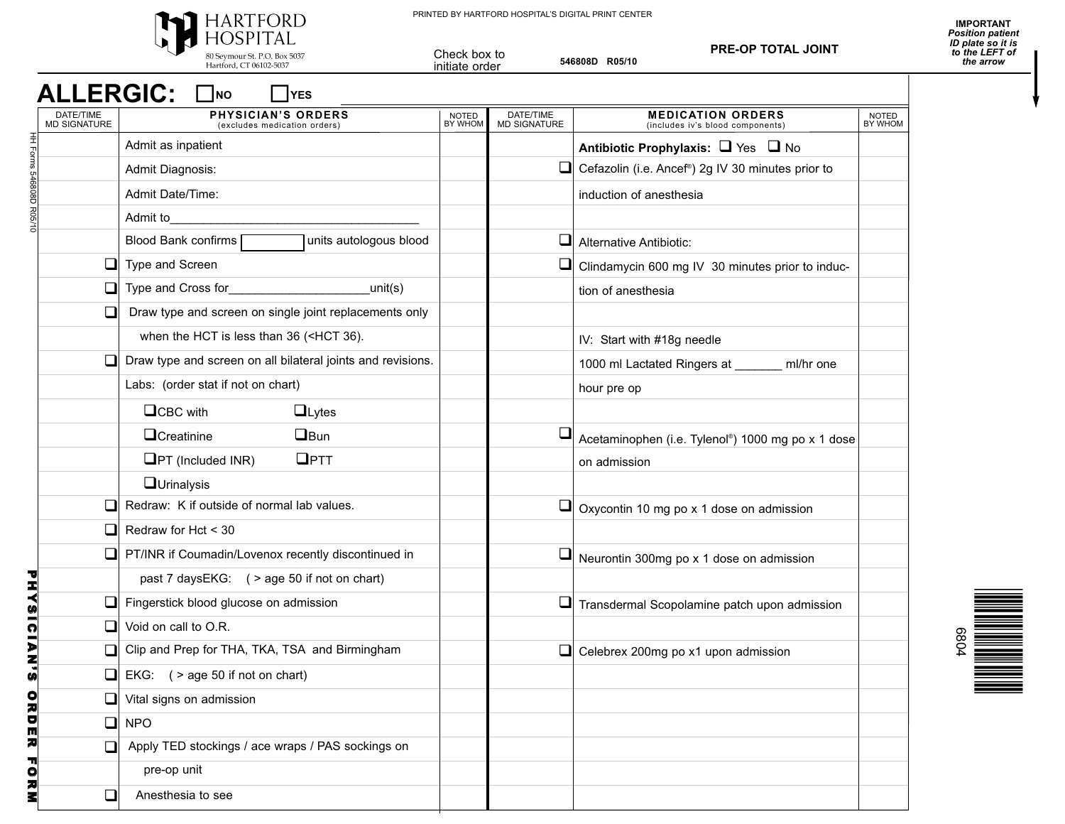

PRINTED BY HARTFORD HOSPITAL'S DIGITAL PRINT CENTER

**546808D R05/10**

Check box to initiate order

**PRE-OP TOTAL JOINT**

## $ALLERGIC:$

| חוו | <b>IYES</b> |  |
|-----|-------------|--|
|     |             |  |

|                         | DATE/TIME<br>MD SIGNATURE | <b>PHYSICIAN'S ORDERS</b><br>(excludes medication orders)                                                               | <b>NOTED</b><br>BY WHOM | DATE/TIME<br>MD SIGNATURE | <b>MEDICATION ORDERS</b><br>(includes iv's blood components | NOTED<br>BY WHOM |
|-------------------------|---------------------------|-------------------------------------------------------------------------------------------------------------------------|-------------------------|---------------------------|-------------------------------------------------------------|------------------|
|                         |                           | Admit as inpatient                                                                                                      |                         |                           | Antibiotic Prophylaxis: $\Box$ Yes $\Box$ No                |                  |
|                         |                           | Admit Diagnosis:                                                                                                        |                         | ❏                         | Cefazolin (i.e. Ancef®) 2g IV 30 minutes prior to           |                  |
| HH Forms 546808D R05/10 |                           | <b>Admit Date/Time:</b>                                                                                                 |                         |                           | induction of anesthesia                                     |                  |
|                         |                           | Admit to                                                                                                                |                         |                           |                                                             |                  |
|                         |                           | units autologous blood<br>Blood Bank confirms                                                                           |                         | ப                         | Alternative Antibiotic:                                     |                  |
|                         |                           | Type and Screen                                                                                                         |                         |                           | Clindamycin 600 mg IV 30 minutes prior to induc-            |                  |
|                         | $\Box$                    | Type and Cross for<br>unit(s)                                                                                           |                         |                           | tion of anesthesia                                          |                  |
|                         |                           | Draw type and screen on single joint replacements only                                                                  |                         |                           |                                                             |                  |
|                         |                           | when the HCT is less than 36 ( <hct 36).<="" td=""><td></td><td></td><td>IV: Start with #18g needle</td><td></td></hct> |                         |                           | IV: Start with #18g needle                                  |                  |
|                         |                           | Draw type and screen on all bilateral joints and revisions.                                                             |                         |                           | 1000 ml Lactated Ringers at ______<br>ml/hr one             |                  |
|                         |                           | Labs: (order stat if not on chart)                                                                                      |                         |                           | hour pre op                                                 |                  |
|                         |                           | $\Box$ CBC with<br>$\Box$ Lytes                                                                                         |                         |                           |                                                             |                  |
|                         |                           | <b>O</b> Creatinine<br>$\Box$ Bun                                                                                       |                         |                           | Acetaminophen (i.e. Tylenol®) 1000 mg po x 1 dose           |                  |
|                         |                           | $\Box$ PTT<br>$\Box$ PT (Included INR)                                                                                  |                         |                           | on admission                                                |                  |
|                         |                           | <b>Q</b> Urinalysis                                                                                                     |                         |                           |                                                             |                  |
|                         |                           | Redraw: K if outside of normal lab values.                                                                              |                         |                           | $\Box$ Oxycontin 10 mg po x 1 dose on admission             |                  |
|                         |                           | Redraw for Hct < 30                                                                                                     |                         |                           |                                                             |                  |
|                         |                           | PT/INR if Coumadin/Lovenox recently discontinued in                                                                     |                         | $\Box$                    | Neurontin 300mg po x 1 dose on admission                    |                  |
|                         |                           | past 7 daysEKG: ( > age 50 if not on chart)                                                                             |                         |                           |                                                             |                  |
|                         |                           | Fingerstick blood glucose on admission                                                                                  |                         | ⊔                         | Transdermal Scopolamine patch upon admission                |                  |
|                         |                           | Void on call to O.R.                                                                                                    |                         |                           |                                                             |                  |
|                         |                           | Clip and Prep for THA, TKA, TSA and Birmingham                                                                          |                         | ❏                         | Celebrex 200mg po x1 upon admission                         |                  |
|                         |                           | EKG: $($ > age 50 if not on chart)                                                                                      |                         |                           |                                                             |                  |
|                         |                           | Vital signs on admission                                                                                                |                         |                           |                                                             |                  |
|                         | □                         | <b>NPO</b>                                                                                                              |                         |                           |                                                             |                  |
| PHYSICIAN'S ORDER FORM  | □                         | Apply TED stockings / ace wraps / PAS sockings on                                                                       |                         |                           |                                                             |                  |
|                         |                           | pre-op unit                                                                                                             |                         |                           |                                                             |                  |
|                         | $\Box$                    | Anesthesia to see                                                                                                       |                         |                           |                                                             |                  |